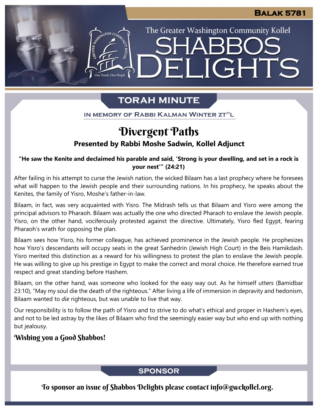# The Greater Washington Community Kollel ELIGHTS

# **TORAH MINUTE**

IN MEMORY OF RABBI KALMAN WINTER ZT"L

# **Presented by Rabbi Moshe Sadwin, Kollel Adjunct** Divergent Paths

**"He saw the Kenite and declaimed his parable and said, 'Strong is your dwelling, and set in a rock is your nest'" (24:21)**

After failing in his attempt to curse the Jewish nation, the wicked Bilaam has a last prophecy where he foresees what will happen to the Jewish people and their surrounding nations. In his prophecy, he speaks about the Kenites, the family of Yisro, Moshe's father-in-law.

Bilaam, in fact, was very acquainted with Yisro. The Midrash tells us that Bilaam and Yisro were among the principal advisors to Pharaoh. Bilaam was actually the one who directed Pharaoh to enslave the Jewish people. Yisro, on the other hand, vociferously protested against the directive. Ultimately, Yisro fled Egypt, fearing Pharaoh's wrath for opposing the plan.

Bilaam sees how Yisro, his former colleague, has achieved prominence in the Jewish people. He prophesizes how Yisro's descendants will occupy seats in the great Sanhedrin (Jewish High Court) in the Beis Hamikdash. Yisro merited this distinction as a reward for his willingness to protest the plan to enslave the Jewish people. He was willing to give up his prestige in Egypt to make the correct and moral choice. He therefore earned true respect and great standing before Hashem.

Bilaam, on the other hand, was someone who looked for the easy way out. As he himself utters (Bamidbar 23:10), "May my soul die the death of the righteous." After living a life of immersion in depravity and hedonism, Bilaam wanted to *die* righteous, but was unable to live that way.

Our responsibility is to follow the path of Yisro and to strive to do what's ethical and proper in Hashem's eyes, and not to be led astray by the likes of Bilaam who find the seemingly easier way but who end up with nothing but jealousy.

# Wishing you a Good Shabbos!

# **SPONSOR**

To sponsor an issue of Shabbos Delights please contact info@gwckollel.org.